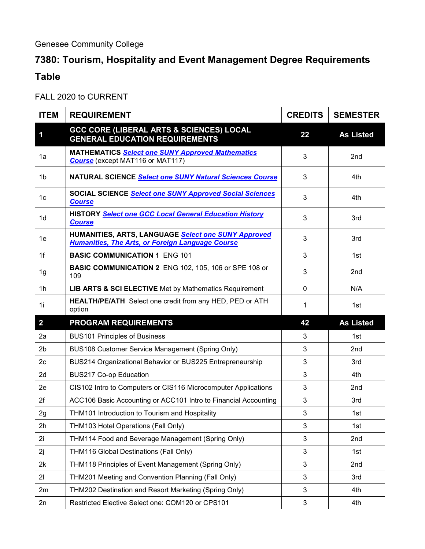## Genesee Community College

## **7380: Tourism, Hospitality and Event Management Degree Requirements Table**

FALL 2020 to CURRENT

| <b>ITEM</b>    | <b>REQUIREMENT</b>                                                                                             | <b>CREDITS</b> | <b>SEMESTER</b>  |
|----------------|----------------------------------------------------------------------------------------------------------------|----------------|------------------|
| 1              | GCC CORE (LIBERAL ARTS & SCIENCES) LOCAL<br><b>GENERAL EDUCATION REQUIREMENTS</b>                              | 22             | <b>As Listed</b> |
| 1a             | <b>MATHEMATICS Select one SUNY Approved Mathematics</b><br><b>Course</b> (except MAT116 or MAT117)             | 3              | 2 <sub>nd</sub>  |
| 1b             | NATURAL SCIENCE Select one SUNY Natural Sciences Course                                                        | 3              | 4th              |
| 1 <sub>c</sub> | <b>SOCIAL SCIENCE Select one SUNY Approved Social Sciences</b><br><b>Course</b>                                | 3              | 4th              |
| 1 <sub>d</sub> | <b>HISTORY Select one GCC Local General Education History</b><br><b>Course</b>                                 | 3              | 3rd              |
| 1e             | HUMANITIES, ARTS, LANGUAGE Select one SUNY Approved<br><b>Humanities, The Arts, or Foreign Language Course</b> | 3              | 3rd              |
| 1f             | <b>BASIC COMMUNICATION 1 ENG 101</b>                                                                           | 3              | 1st              |
| 1g             | <b>BASIC COMMUNICATION 2 ENG 102, 105, 106 or SPE 108 or</b><br>109                                            | 3              | 2nd              |
| 1 <sub>h</sub> | LIB ARTS & SCI ELECTIVE Met by Mathematics Requirement                                                         | 0              | N/A              |
| 1i             | <b>HEALTH/PE/ATH</b> Select one credit from any HED, PED or ATH<br>option                                      | 1              | 1st              |
| $\overline{2}$ | <b>PROGRAM REQUIREMENTS</b>                                                                                    | 42             | <b>As Listed</b> |
| 2a             | <b>BUS101 Principles of Business</b>                                                                           | 3              | 1st              |
| 2 <sub>b</sub> | BUS108 Customer Service Management (Spring Only)                                                               | 3              | 2nd              |
| 2c             | BUS214 Organizational Behavior or BUS225 Entrepreneurship                                                      | 3              | 3rd              |
| 2d             | <b>BUS217 Co-op Education</b>                                                                                  | 3              | 4th              |
| 2e             | CIS102 Intro to Computers or CIS116 Microcomputer Applications                                                 | 3              | 2nd              |
| 2f             | ACC106 Basic Accounting or ACC101 Intro to Financial Accounting                                                | 3              | 3rd              |
| 2g             | THM101 Introduction to Tourism and Hospitality                                                                 | 3              | 1st              |
| 2h             | THM103 Hotel Operations (Fall Only)                                                                            | 3              | 1st              |
| 2i             | THM114 Food and Beverage Management (Spring Only)                                                              | 3              | 2nd              |
| 2j             | THM116 Global Destinations (Fall Only)                                                                         | 3              | 1st              |
| 2k             | THM118 Principles of Event Management (Spring Only)                                                            | 3              | 2nd              |
| 21             | THM201 Meeting and Convention Planning (Fall Only)                                                             | 3              | 3rd              |
| 2m             | THM202 Destination and Resort Marketing (Spring Only)                                                          | 3              | 4th              |
| 2n             | Restricted Elective Select one: COM120 or CPS101                                                               | 3              | 4th              |